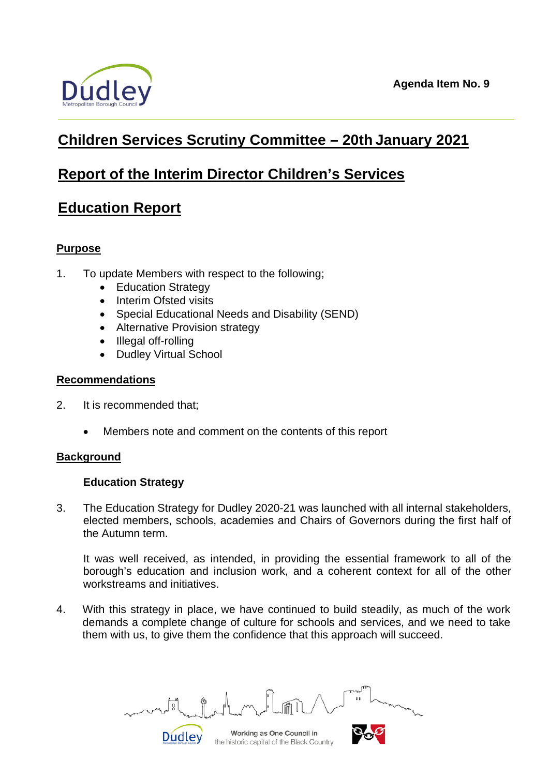

# **Children Services Scrutiny Committee – 20th January 2021**

# **Report of the Interim Director Children's Services**

# **Education Report**

# **Purpose**

- 1. To update Members with respect to the following;
	- Education Strategy
	- Interim Ofsted visits
	- Special Educational Needs and Disability (SEND)
	- Alternative Provision strategy

**Dudley** 

- Illegal off-rolling
- Dudley Virtual School

# **Recommendations**

- 2. It is recommended that;
	- Members note and comment on the contents of this report

# **Background**

# **Education Strategy**

3. The Education Strategy for Dudley 2020-21 was launched with all internal stakeholders, elected members, schools, academies and Chairs of Governors during the first half of the Autumn term.

It was well received, as intended, in providing the essential framework to all of the borough's education and inclusion work, and a coherent context for all of the other workstreams and initiatives.

4. With this strategy in place, we have continued to build steadily, as much of the work demands a complete change of culture for schools and services, and we need to take them with us, to give them the confidence that this approach will succeed.

्रि

Working as One Council in the historic capital of the Black Country

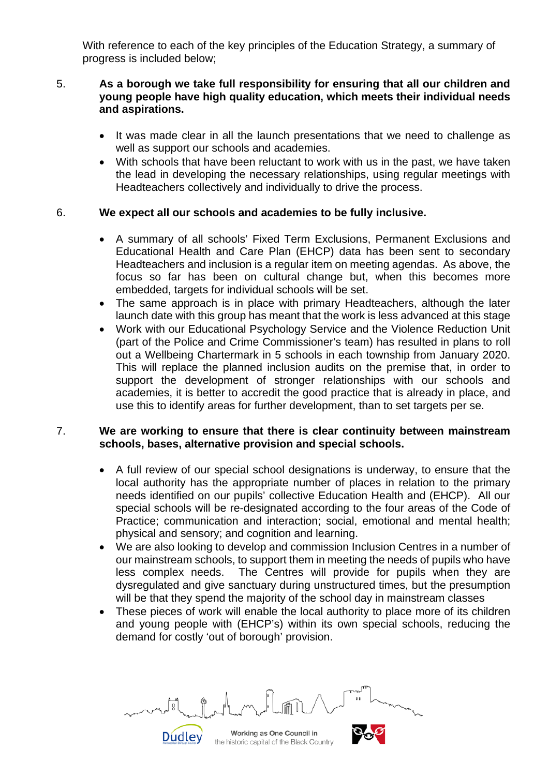With reference to each of the key principles of the Education Strategy, a summary of progress is included below;

### 5. **As a borough we take full responsibility for ensuring that all our children and young people have high quality education, which meets their individual needs and aspirations.**

- It was made clear in all the launch presentations that we need to challenge as well as support our schools and academies.
- With schools that have been reluctant to work with us in the past, we have taken the lead in developing the necessary relationships, using regular meetings with Headteachers collectively and individually to drive the process.

# 6. **We expect all our schools and academies to be fully inclusive.**

- A summary of all schools' Fixed Term Exclusions, Permanent Exclusions and Educational Health and Care Plan (EHCP) data has been sent to secondary Headteachers and inclusion is a regular item on meeting agendas. As above, the focus so far has been on cultural change but, when this becomes more embedded, targets for individual schools will be set.
- The same approach is in place with primary Headteachers, although the later launch date with this group has meant that the work is less advanced at this stage
- Work with our Educational Psychology Service and the Violence Reduction Unit (part of the Police and Crime Commissioner's team) has resulted in plans to roll out a Wellbeing Chartermark in 5 schools in each township from January 2020. This will replace the planned inclusion audits on the premise that, in order to support the development of stronger relationships with our schools and academies, it is better to accredit the good practice that is already in place, and use this to identify areas for further development, than to set targets per se.

## 7. **We are working to ensure that there is clear continuity between mainstream schools, bases, alternative provision and special schools.**

- A full review of our special school designations is underway, to ensure that the local authority has the appropriate number of places in relation to the primary needs identified on our pupils' collective Education Health and (EHCP). All our special schools will be re-designated according to the four areas of the Code of Practice; communication and interaction; social, emotional and mental health; physical and sensory; and cognition and learning.
- We are also looking to develop and commission Inclusion Centres in a number of our mainstream schools, to support them in meeting the needs of pupils who have less complex needs. The Centres will provide for pupils when they are dysregulated and give sanctuary during unstructured times, but the presumption will be that they spend the majority of the school day in mainstream classes
- These pieces of work will enable the local authority to place more of its children and young people with (EHCP's) within its own special schools, reducing the demand for costly 'out of borough' provision.

Working as One Council in the historic capital of the Black Country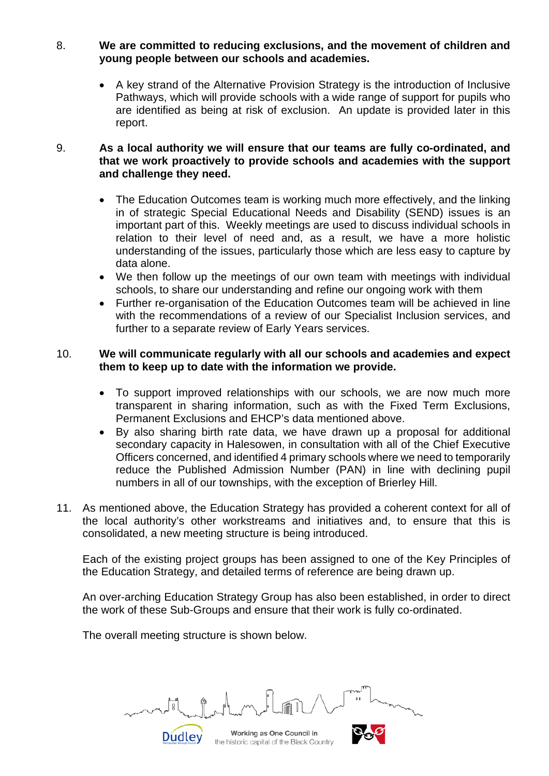- 8. **We are committed to reducing exclusions, and the movement of children and young people between our schools and academies.**
	- A key strand of the Alternative Provision Strategy is the introduction of Inclusive Pathways, which will provide schools with a wide range of support for pupils who are identified as being at risk of exclusion. An update is provided later in this report.

#### 9. **As a local authority we will ensure that our teams are fully co-ordinated, and that we work proactively to provide schools and academies with the support and challenge they need.**

- The Education Outcomes team is working much more effectively, and the linking in of strategic Special Educational Needs and Disability (SEND) issues is an important part of this. Weekly meetings are used to discuss individual schools in relation to their level of need and, as a result, we have a more holistic understanding of the issues, particularly those which are less easy to capture by data alone.
- We then follow up the meetings of our own team with meetings with individual schools, to share our understanding and refine our ongoing work with them
- Further re-organisation of the Education Outcomes team will be achieved in line with the recommendations of a review of our Specialist Inclusion services, and further to a separate review of Early Years services.

#### 10. **We will communicate regularly with all our schools and academies and expect them to keep up to date with the information we provide.**

- To support improved relationships with our schools, we are now much more transparent in sharing information, such as with the Fixed Term Exclusions, Permanent Exclusions and EHCP's data mentioned above.
- By also sharing birth rate data, we have drawn up a proposal for additional secondary capacity in Halesowen, in consultation with all of the Chief Executive Officers concerned, and identified 4 primary schools where we need to temporarily reduce the Published Admission Number (PAN) in line with declining pupil numbers in all of our townships, with the exception of Brierley Hill.
- 11. As mentioned above, the Education Strategy has provided a coherent context for all of the local authority's other workstreams and initiatives and, to ensure that this is consolidated, a new meeting structure is being introduced.

Each of the existing project groups has been assigned to one of the Key Principles of the Education Strategy, and detailed terms of reference are being drawn up.

An over-arching Education Strategy Group has also been established, in order to direct the work of these Sub-Groups and ensure that their work is fully co-ordinated.

The overall meeting structure is shown below.

Dudley

Working as One Council in the historic capital of the Black Country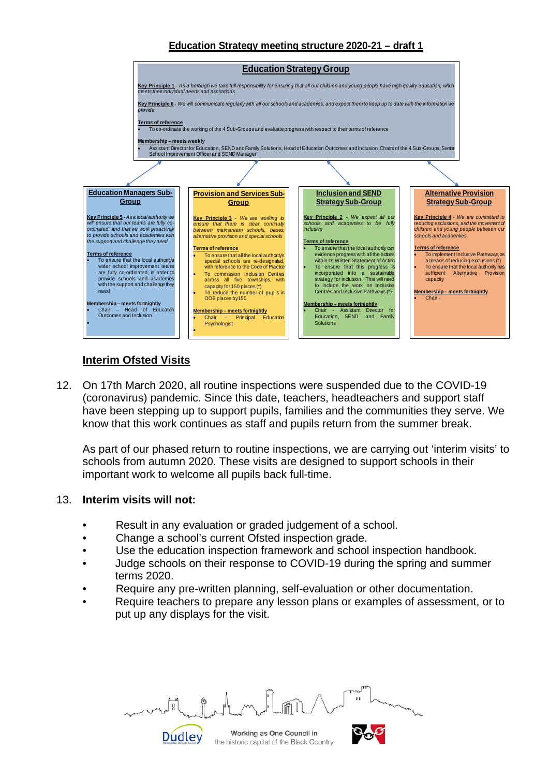## **Education Strategy meeting structure 2020-21 – draft 1**



# **Interim Ofsted Visits**

12. On 17th March 2020, all routine inspections were suspended due to the COVID-19 (coronavirus) pandemic. Since this date, teachers, headteachers and support staff have been stepping up to support pupils, families and the communities they serve. We know that this work continues as staff and pupils return from the summer break.

As part of our phased return to routine inspections, we are carrying out 'interim visits' to schools from autumn 2020. These visits are designed to support schools in their important work to welcome all pupils back full-time.

#### 13. **Interim visits will not:**

- Result in any evaluation or graded judgement of a school.
- Change a school's current Ofsted inspection grade.

Dudley

- Use the education inspection framework and school inspection handbook.
- Judge schools on their response to COVID-19 during the spring and summer terms 2020.
- Require any pre-written planning, self-evaluation or other documentation.
- Require teachers to prepare any lesson plans or examples of assessment, or to put up any displays for the visit.

 $\Box$ 

Working as One Council in

the historic capital of the Black Country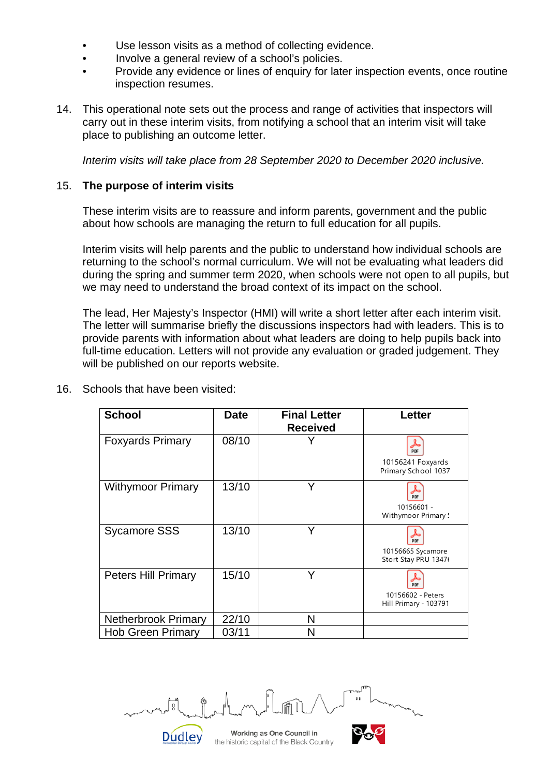- Use lesson visits as a method of collecting evidence.
- Involve a general review of a school's policies.
- Provide any evidence or lines of enquiry for later inspection events, once routine inspection resumes.
- 14. This operational note sets out the process and range of activities that inspectors will carry out in these interim visits, from notifying a school that an interim visit will take place to publishing an outcome letter.

*Interim visits will take place from 28 September 2020 to December 2020 inclusive.*

#### 15. **The purpose of interim visits**

These interim visits are to reassure and inform parents, government and the public about how schools are managing the return to full education for all pupils.

Interim visits will help parents and the public to understand how individual schools are returning to the school's normal curriculum. We will not be evaluating what leaders did during the spring and summer term 2020, when schools were not open to all pupils, but we may need to understand the broad context of its impact on the school.

The lead, Her Majesty's Inspector (HMI) will write a short letter after each interim visit. The letter will summarise briefly the discussions inspectors had with leaders. This is to provide parents with information about what leaders are doing to help pupils back into full-time education. Letters will not provide any evaluation or graded judgement. They will be published on our reports website.

| <b>School</b>              | <b>Date</b> | <b>Final Letter</b><br><b>Received</b> | Letter                                                 |
|----------------------------|-------------|----------------------------------------|--------------------------------------------------------|
| <b>Foxyards Primary</b>    | 08/10       |                                        | <b>PDF</b><br>10156241 Foxyards<br>Primary School 1037 |
| <b>Withymoor Primary</b>   | 13/10       |                                        | <b>DDF</b><br>10156601 -<br>Withymoor Primary!         |
| <b>Sycamore SSS</b>        | 13/10       |                                        | 10156665 Sycamore<br>Stort Stay PRU 13476              |
| <b>Peters Hill Primary</b> | 15/10       | Y                                      | 10156602 - Peters<br>Hill Primary - 103791             |
| <b>Netherbrook Primary</b> | 22/10       | N                                      |                                                        |
| <b>Hob Green Primary</b>   | 03/11       | N                                      |                                                        |

16. Schools that have been visited:

Working as One Council in the historic capital of the Black Country

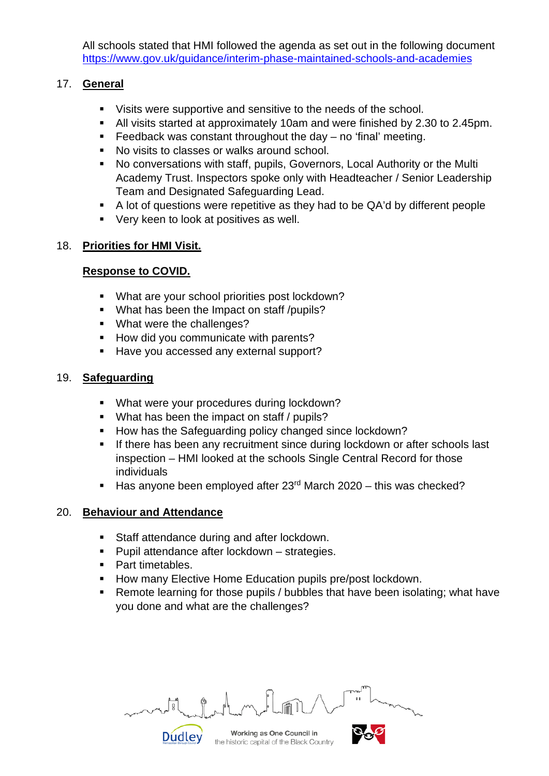All schools stated that HMI followed the agenda as set out in the following document <https://www.gov.uk/guidance/interim-phase-maintained-schools-and-academies>

# 17. **General**

- Visits were supportive and sensitive to the needs of the school.
- All visits started at approximately 10am and were finished by 2.30 to 2.45pm.
- Feedback was constant throughout the day  $-$  no 'final' meeting.
- No visits to classes or walks around school.
- No conversations with staff, pupils, Governors, Local Authority or the Multi Academy Trust. Inspectors spoke only with Headteacher / Senior Leadership Team and Designated Safeguarding Lead.
- A lot of questions were repetitive as they had to be QA'd by different people
- Very keen to look at positives as well.

# 18. **Priorities for HMI Visit.**

# **Response to COVID.**

- What are your school priorities post lockdown?
- What has been the Impact on staff /pupils?
- What were the challenges?
- How did you communicate with parents?
- Have you accessed any external support?

# 19. **Safeguarding**

- **What were your procedures during lockdown?**
- What has been the impact on staff / pupils?
- How has the Safeguarding policy changed since lockdown?
- **If there has been any recruitment since during lockdown or after schools last** inspection – HMI looked at the schools Single Central Record for those individuals
- Has anyone been employed after  $23<sup>rd</sup>$  March 2020 this was checked?

# 20. **Behaviour and Attendance**

- **Staff attendance during and after lockdown.**
- **Pupil attendance after lockdown strategies.**
- Part timetables.

**Dudley** 

- **How many Elective Home Education pupils pre/post lockdown.**
- Remote learning for those pupils / bubbles that have been isolating; what have you done and what are the challenges?

Working as One Council in

the historic capital of the Black Country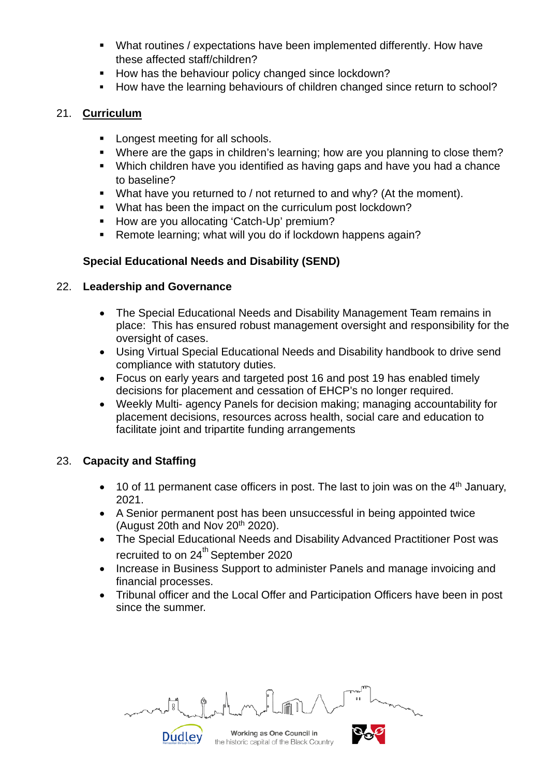- What routines / expectations have been implemented differently. How have these affected staff/children?
- How has the behaviour policy changed since lockdown?
- How have the learning behaviours of children changed since return to school?

## 21. **Curriculum**

- **Longest meeting for all schools.**
- Where are the gaps in children's learning; how are you planning to close them?
- Which children have you identified as having gaps and have you had a chance to baseline?
- What have you returned to / not returned to and why? (At the moment).
- What has been the impact on the curriculum post lockdown?
- How are you allocating 'Catch-Up' premium?
- Remote learning; what will you do if lockdown happens again?

# **Special Educational Needs and Disability (SEND)**

## 22. **Leadership and Governance**

- The Special Educational Needs and Disability Management Team remains in place: This has ensured robust management oversight and responsibility for the oversight of cases.
- Using Virtual Special Educational Needs and Disability handbook to drive send compliance with statutory duties.
- Focus on early years and targeted post 16 and post 19 has enabled timely decisions for placement and cessation of EHCP's no longer required.
- Weekly Multi- agency Panels for decision making; managing accountability for placement decisions, resources across health, social care and education to facilitate joint and tripartite funding arrangements

# 23. **Capacity and Staffing**

- 10 of 11 permanent case officers in post. The last to join was on the  $4<sup>th</sup>$  January, 2021.
- A Senior permanent post has been unsuccessful in being appointed twice (August 20th and Nov  $20<sup>th</sup> 2020$ ).
- The Special Educational Needs and Disability Advanced Practitioner Post was recruited to on 24<sup>th</sup> September 2020
- Increase in Business Support to administer Panels and manage invoicing and financial processes.
- Tribunal officer and the Local Offer and Participation Officers have been in post since the summer.

Working as One Council in the historic capital of the Black Country

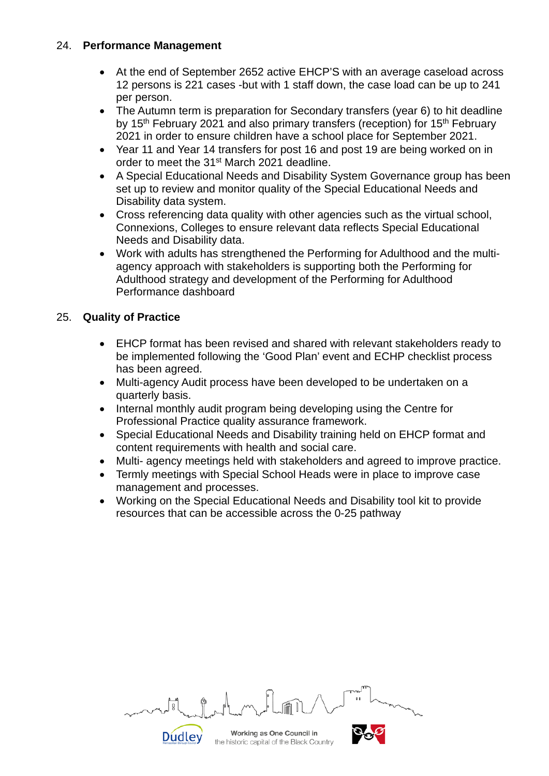## 24. **Performance Management**

- At the end of September 2652 active EHCP'S with an average caseload across 12 persons is 221 cases -but with 1 staff down, the case load can be up to 241 per person.
- The Autumn term is preparation for Secondary transfers (year 6) to hit deadline by 15<sup>th</sup> February 2021 and also primary transfers (reception) for 15<sup>th</sup> February 2021 in order to ensure children have a school place for September 2021.
- Year 11 and Year 14 transfers for post 16 and post 19 are being worked on in order to meet the 31<sup>st</sup> March 2021 deadline.
- A Special Educational Needs and Disability System Governance group has been set up to review and monitor quality of the Special Educational Needs and Disability data system.
- Cross referencing data quality with other agencies such as the virtual school, Connexions, Colleges to ensure relevant data reflects Special Educational Needs and Disability data.
- Work with adults has strengthened the Performing for Adulthood and the multiagency approach with stakeholders is supporting both the Performing for Adulthood strategy and development of the Performing for Adulthood Performance dashboard

# 25. **Quality of Practice**

- EHCP format has been revised and shared with relevant stakeholders ready to be implemented following the 'Good Plan' event and ECHP checklist process has been agreed.
- Multi-agency Audit process have been developed to be undertaken on a quarterly basis.
- Internal monthly audit program being developing using the Centre for Professional Practice quality assurance framework.
- Special Educational Needs and Disability training held on EHCP format and content requirements with health and social care.
- Multi- agency meetings held with stakeholders and agreed to improve practice.
- Termly meetings with Special School Heads were in place to improve case management and processes.
- Working on the Special Educational Needs and Disability tool kit to provide resources that can be accessible across the 0-25 pathway

| mental and modern defendant in the more |  |  |  |
|-----------------------------------------|--|--|--|
|                                         |  |  |  |

Working as One Council in the historic capital of the Black Country

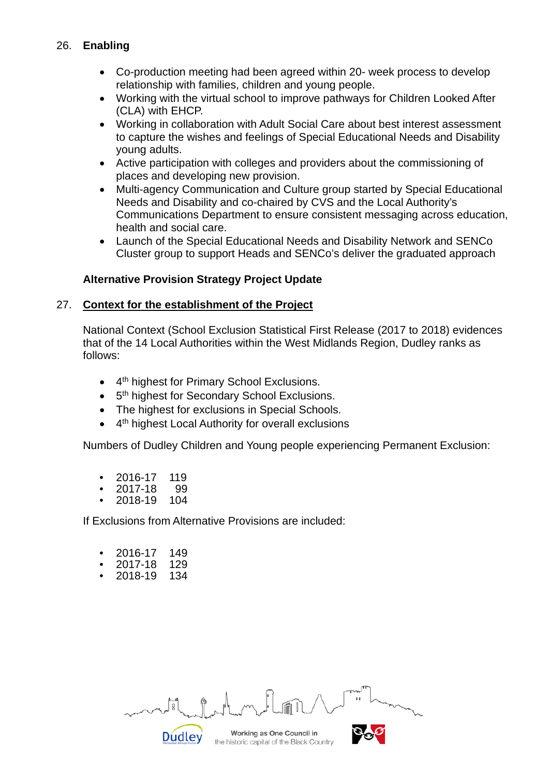# 26. **Enabling**

- Co-production meeting had been agreed within 20- week process to develop relationship with families, children and young people.
- Working with the virtual school to improve pathways for Children Looked After (CLA) with EHCP.
- Working in collaboration with Adult Social Care about best interest assessment to capture the wishes and feelings of Special Educational Needs and Disability young adults.
- Active participation with colleges and providers about the commissioning of places and developing new provision.
- Multi-agency Communication and Culture group started by Special Educational Needs and Disability and co-chaired by CVS and the Local Authority's Communications Department to ensure consistent messaging across education, health and social care.
- Launch of the Special Educational Needs and Disability Network and SENCo Cluster group to support Heads and SENCo's deliver the graduated approach

# **Alternative Provision Strategy Project Update**

#### 27. **Context for the establishment of the Project**

National Context (School Exclusion Statistical First Release (2017 to 2018) evidences that of the 14 Local Authorities within the West Midlands Region, Dudley ranks as follows:

- 4<sup>th</sup> highest for Primary School Exclusions.
- 5<sup>th</sup> highest for Secondary School Exclusions.
- The highest for exclusions in Special Schools.
- 4<sup>th</sup> highest Local Authority for overall exclusions

Numbers of Dudley Children and Young people experiencing Permanent Exclusion:

- 2016-17 119
- $2017 18$
- 2018-19 104

If Exclusions from Alternative Provisions are included:

- 2016-17 149
- 2017-18 129
- 2018-19 134

Dudley

Working as One Council in

the historic capital of the Black Country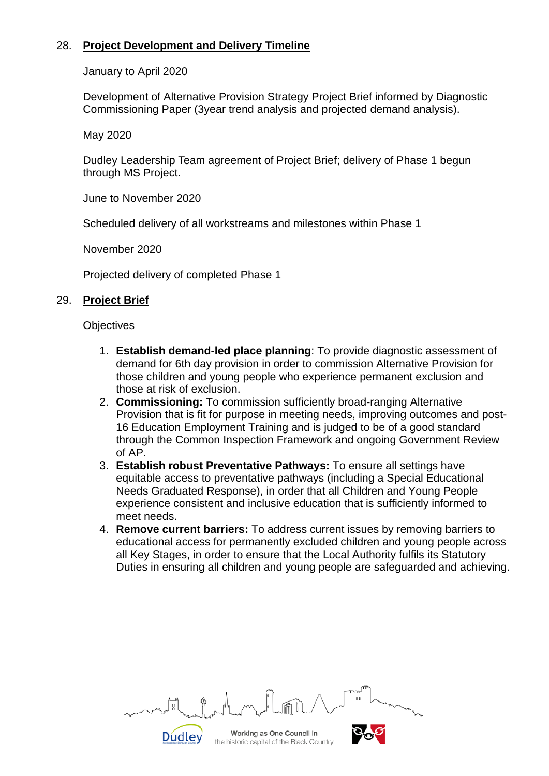# 28. **Project Development and Delivery Timeline**

January to April 2020

Development of Alternative Provision Strategy Project Brief informed by Diagnostic Commissioning Paper (3year trend analysis and projected demand analysis).

May 2020

Dudley Leadership Team agreement of Project Brief; delivery of Phase 1 begun through MS Project.

June to November 2020

Scheduled delivery of all workstreams and milestones within Phase 1

November 2020

Projected delivery of completed Phase 1

Dudley

## 29. **Project Brief**

**Objectives** 

- 1. **Establish demand-led place planning**: To provide diagnostic assessment of demand for 6th day provision in order to commission Alternative Provision for those children and young people who experience permanent exclusion and those at risk of exclusion.
- 2. **Commissioning:** To commission sufficiently broad-ranging Alternative Provision that is fit for purpose in meeting needs, improving outcomes and post-16 Education Employment Training and is judged to be of a good standard through the Common Inspection Framework and ongoing Government Review of AP.
- 3. **Establish robust Preventative Pathways:** To ensure all settings have equitable access to preventative pathways (including a Special Educational Needs Graduated Response), in order that all Children and Young People experience consistent and inclusive education that is sufficiently informed to meet needs.
- 4. **Remove current barriers:** To address current issues by removing barriers to educational access for permanently excluded children and young people across all Key Stages, in order to ensure that the Local Authority fulfils its Statutory Duties in ensuring all children and young people are safeguarded and achieving.

Working as One Council in the historic capital of the Black Country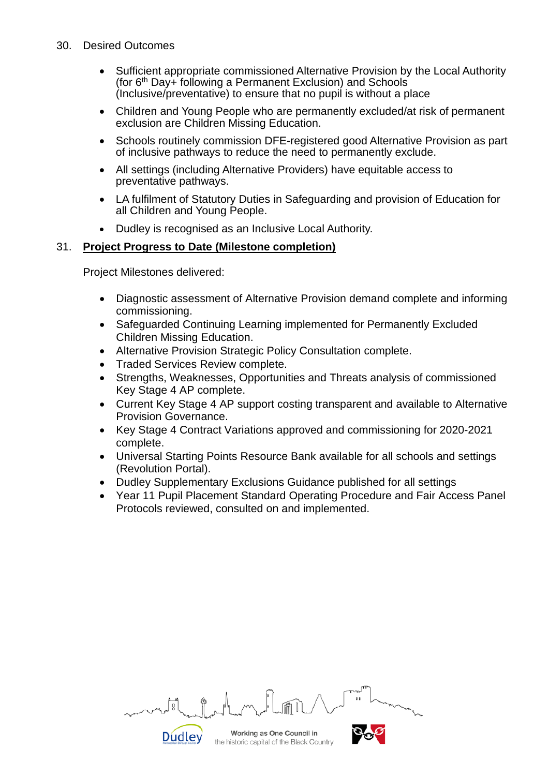- 30. Desired Outcomes
	- Sufficient appropriate commissioned Alternative Provision by the Local Authority (for 6th Day+ following a Permanent Exclusion) and Schools (Inclusive/preventative) to ensure that no pupil is without a place
	- Children and Young People who are permanently excluded/at risk of permanent exclusion are Children Missing Education.
	- Schools routinely commission DFE-registered good Alternative Provision as part of inclusive pathways to reduce the need to permanently exclude.
	- All settings (including Alternative Providers) have equitable access to preventative pathways.
	- LA fulfilment of Statutory Duties in Safeguarding and provision of Education for all Children and Young People.
	- Dudley is recognised as an Inclusive Local Authority.

## 31. **Project Progress to Date (Milestone completion)**

Project Milestones delivered:

- Diagnostic assessment of Alternative Provision demand complete and informing commissioning.
- Safeguarded Continuing Learning implemented for Permanently Excluded Children Missing Education.
- Alternative Provision Strategic Policy Consultation complete.
- Traded Services Review complete.

**Dudley** 

- Strengths, Weaknesses, Opportunities and Threats analysis of commissioned Key Stage 4 AP complete.
- Current Key Stage 4 AP support costing transparent and available to Alternative Provision Governance.
- Key Stage 4 Contract Variations approved and commissioning for 2020-2021 complete.
- Universal Starting Points Resource Bank available for all schools and settings (Revolution Portal).
- Dudley Supplementary Exclusions Guidance published for all settings
- Year 11 Pupil Placement Standard Operating Procedure and Fair Access Panel Protocols reviewed, consulted on and implemented.

| month always in the form of the state of the state of the state of the state of the state of the state of the state of the state of the state of the state of the state of the state of the state of the state of the state of |  |  |  |
|--------------------------------------------------------------------------------------------------------------------------------------------------------------------------------------------------------------------------------|--|--|--|
|                                                                                                                                                                                                                                |  |  |  |

Working as One Council in the historic capital of the Black Country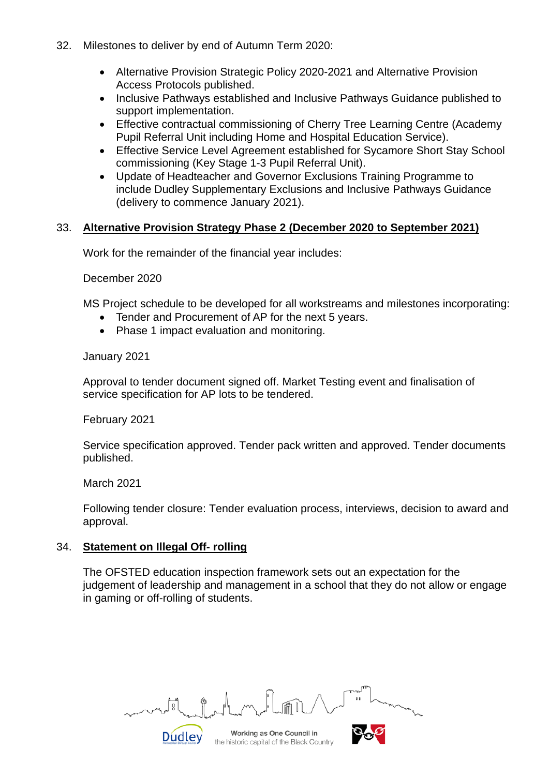- 32. Milestones to deliver by end of Autumn Term 2020:
	- Alternative Provision Strategic Policy 2020-2021 and Alternative Provision Access Protocols published.
	- Inclusive Pathways established and Inclusive Pathways Guidance published to support implementation.
	- Effective contractual commissioning of Cherry Tree Learning Centre (Academy Pupil Referral Unit including Home and Hospital Education Service).
	- Effective Service Level Agreement established for Sycamore Short Stay School commissioning (Key Stage 1-3 Pupil Referral Unit).
	- Update of Headteacher and Governor Exclusions Training Programme to include Dudley Supplementary Exclusions and Inclusive Pathways Guidance (delivery to commence January 2021).

#### 33. **Alternative Provision Strategy Phase 2 (December 2020 to September 2021)**

Work for the remainder of the financial year includes:

December 2020

MS Project schedule to be developed for all workstreams and milestones incorporating:

- Tender and Procurement of AP for the next 5 years.
- Phase 1 impact evaluation and monitoring.

January 2021

Approval to tender document signed off. Market Testing event and finalisation of service specification for AP lots to be tendered.

February 2021

Service specification approved. Tender pack written and approved. Tender documents published.

March 2021

Following tender closure: Tender evaluation process, interviews, decision to award and approval.

#### 34. **Statement on Illegal Off- rolling**

Dudley

The OFSTED education inspection framework sets out an expectation for the judgement of leadership and management in a school that they do not allow or engage in gaming or off-rolling of students.

Working as One Council in

the historic capital of the Black Country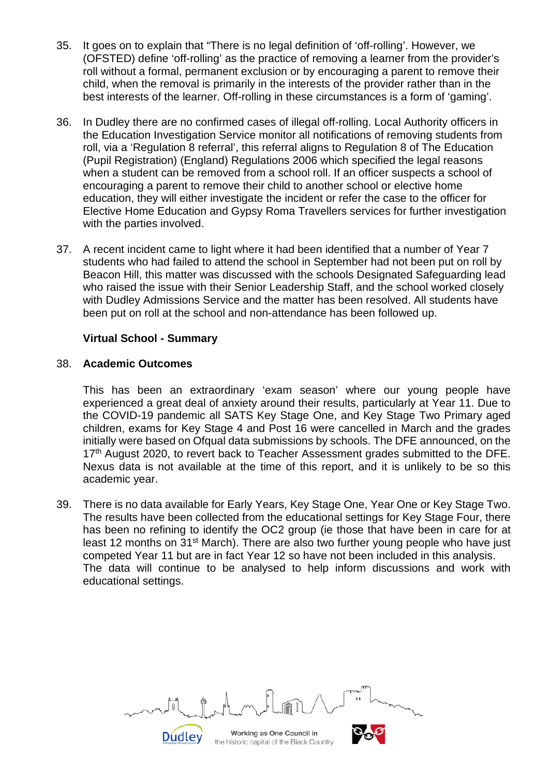- 35. It goes on to explain that "There is no legal definition of 'off-rolling'. However, we (OFSTED) define 'off-rolling' as the practice of removing a learner from the provider's roll without a formal, permanent exclusion or by encouraging a parent to remove their child, when the removal is primarily in the interests of the provider rather than in the best interests of the learner. Off-rolling in these circumstances is a form of 'gaming'.
- 36. In Dudley there are no confirmed cases of illegal off-rolling. Local Authority officers in the Education Investigation Service monitor all notifications of removing students from roll, via a 'Regulation 8 referral', this referral aligns to Regulation 8 of The Education (Pupil Registration) (England) Regulations 2006 which specified the legal reasons when a student can be removed from a school roll. If an officer suspects a school of encouraging a parent to remove their child to another school or elective home education, they will either investigate the incident or refer the case to the officer for Elective Home Education and Gypsy Roma Travellers services for further investigation with the parties involved.
- 37. A recent incident came to light where it had been identified that a number of Year 7 students who had failed to attend the school in September had not been put on roll by Beacon Hill, this matter was discussed with the schools Designated Safeguarding lead who raised the issue with their Senior Leadership Staff, and the school worked closely with Dudley Admissions Service and the matter has been resolved. All students have been put on roll at the school and non-attendance has been followed up.

#### **Virtual School - Summary**

#### 38. **Academic Outcomes**

This has been an extraordinary 'exam season' where our young people have experienced a great deal of anxiety around their results, particularly at Year 11. Due to the COVID-19 pandemic all SATS Key Stage One, and Key Stage Two Primary aged children, exams for Key Stage 4 and Post 16 were cancelled in March and the grades initially were based on Ofqual data submissions by schools. The DFE announced, on the 17<sup>th</sup> August 2020, to revert back to Teacher Assessment grades submitted to the DFE. Nexus data is not available at the time of this report, and it is unlikely to be so this academic year.

39. There is no data available for Early Years, Key Stage One, Year One or Key Stage Two. The results have been collected from the educational settings for Key Stage Four, there has been no refining to identify the OC2 group (ie those that have been in care for at least 12 months on 31<sup>st</sup> March). There are also two further young people who have just competed Year 11 but are in fact Year 12 so have not been included in this analysis. The data will continue to be analysed to help inform discussions and work with educational settings.

Working as One Council in the historic capital of the Black Country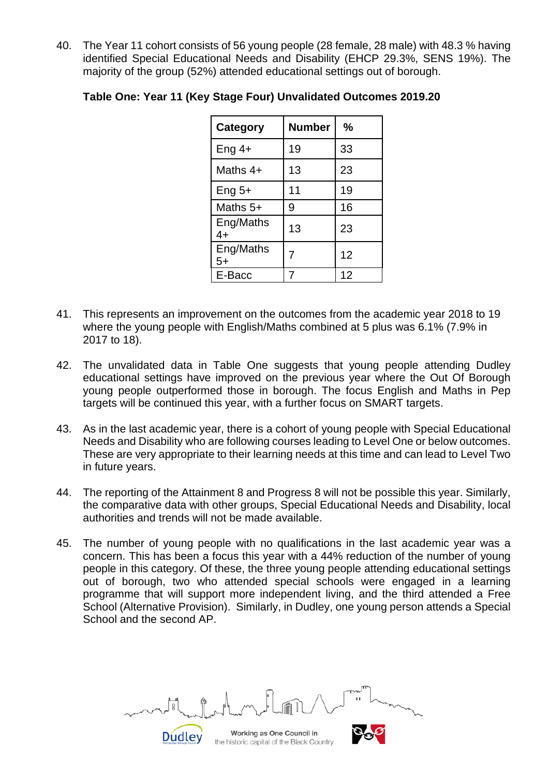40. The Year 11 cohort consists of 56 young people (28 female, 28 male) with 48.3 % having identified Special Educational Needs and Disability (EHCP 29.3%, SENS 19%). The majority of the group (52%) attended educational settings out of borough.

| Category          | <b>Number</b> | %  |
|-------------------|---------------|----|
| Eng $4+$          | 19            | 33 |
| Maths $4+$        | 13            | 23 |
| Eng $5+$          | 11            | 19 |
| Maths $5+$        | 9             | 16 |
| Eng/Maths<br>4+   | 13            | 23 |
| Eng/Maths<br>$5+$ | 7             | 12 |
| E-Bacc            |               | 12 |

## **Table One: Year 11 (Key Stage Four) Unvalidated Outcomes 2019.20**

- 41. This represents an improvement on the outcomes from the academic year 2018 to 19 where the young people with English/Maths combined at 5 plus was 6.1% (7.9% in 2017 to 18).
- 42. The unvalidated data in Table One suggests that young people attending Dudley educational settings have improved on the previous year where the Out Of Borough young people outperformed those in borough. The focus English and Maths in Pep targets will be continued this year, with a further focus on SMART targets.
- 43. As in the last academic year, there is a cohort of young people with Special Educational Needs and Disability who are following courses leading to Level One or below outcomes. These are very appropriate to their learning needs at this time and can lead to Level Two in future years.
- 44. The reporting of the Attainment 8 and Progress 8 will not be possible this year. Similarly, the comparative data with other groups, Special Educational Needs and Disability, local authorities and trends will not be made available.
- 45. The number of young people with no qualifications in the last academic year was a concern. This has been a focus this year with a 44% reduction of the number of young people in this category. Of these, the three young people attending educational settings out of borough, two who attended special schools were engaged in a learning programme that will support more independent living, and the third attended a Free School (Alternative Provision). Similarly, in Dudley, one young person attends a Special School and the second AP.

Working as One Council in the historic capital of the Black Country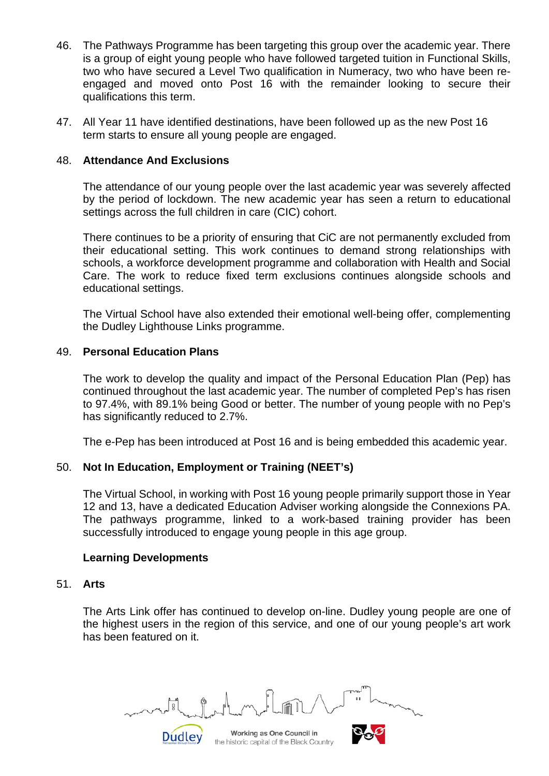- 46. The Pathways Programme has been targeting this group over the academic year. There is a group of eight young people who have followed targeted tuition in Functional Skills, two who have secured a Level Two qualification in Numeracy, two who have been reengaged and moved onto Post 16 with the remainder looking to secure their qualifications this term.
- 47. All Year 11 have identified destinations, have been followed up as the new Post 16 term starts to ensure all young people are engaged.

#### 48. **Attendance And Exclusions**

The attendance of our young people over the last academic year was severely affected by the period of lockdown. The new academic year has seen a return to educational settings across the full children in care (CIC) cohort.

There continues to be a priority of ensuring that CiC are not permanently excluded from their educational setting. This work continues to demand strong relationships with schools, a workforce development programme and collaboration with Health and Social Care. The work to reduce fixed term exclusions continues alongside schools and educational settings.

The Virtual School have also extended their emotional well-being offer, complementing the Dudley Lighthouse Links programme.

#### 49. **Personal Education Plans**

The work to develop the quality and impact of the Personal Education Plan (Pep) has continued throughout the last academic year. The number of completed Pep's has risen to 97.4%, with 89.1% being Good or better. The number of young people with no Pep's has significantly reduced to 2.7%.

The e-Pep has been introduced at Post 16 and is being embedded this academic year.

#### 50. **Not In Education, Employment or Training (NEET's)**

The Virtual School, in working with Post 16 young people primarily support those in Year 12 and 13, have a dedicated Education Adviser working alongside the Connexions PA. The pathways programme, linked to a work-based training provider has been successfully introduced to engage young people in this age group.

#### **Learning Developments**

Dudley

#### 51. **Arts**

The Arts Link offer has continued to develop on-line. Dudley young people are one of the highest users in the region of this service, and one of our young people's art work has been featured on it.

Working as One Council in the historic capital of the Black Country

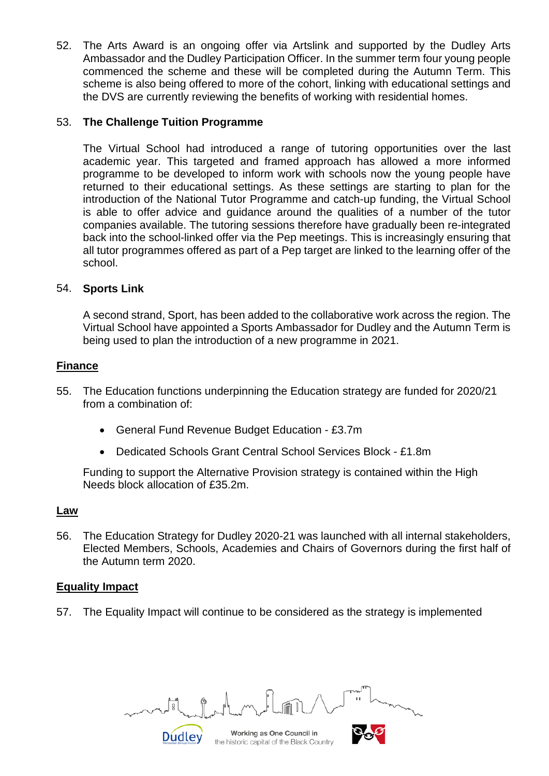52. The Arts Award is an ongoing offer via Artslink and supported by the Dudley Arts Ambassador and the Dudley Participation Officer. In the summer term four young people commenced the scheme and these will be completed during the Autumn Term. This scheme is also being offered to more of the cohort, linking with educational settings and the DVS are currently reviewing the benefits of working with residential homes.

### 53. **The Challenge Tuition Programme**

The Virtual School had introduced a range of tutoring opportunities over the last academic year. This targeted and framed approach has allowed a more informed programme to be developed to inform work with schools now the young people have returned to their educational settings. As these settings are starting to plan for the introduction of the National Tutor Programme and catch-up funding, the Virtual School is able to offer advice and guidance around the qualities of a number of the tutor companies available. The tutoring sessions therefore have gradually been re-integrated back into the school-linked offer via the Pep meetings. This is increasingly ensuring that all tutor programmes offered as part of a Pep target are linked to the learning offer of the school.

#### 54. **Sports Link**

A second strand, Sport, has been added to the collaborative work across the region. The Virtual School have appointed a Sports Ambassador for Dudley and the Autumn Term is being used to plan the introduction of a new programme in 2021.

#### **Finance**

- 55. The Education functions underpinning the Education strategy are funded for 2020/21 from a combination of:
	- General Fund Revenue Budget Education £3.7m
	- Dedicated Schools Grant Central School Services Block £1.8m

Funding to support the Alternative Provision strategy is contained within the High Needs block allocation of £35.2m.

#### **Law**

56. The Education Strategy for Dudley 2020-21 was launched with all internal stakeholders, Elected Members, Schools, Academies and Chairs of Governors during the first half of the Autumn term 2020.

#### **Equality Impact**

57. The Equality Impact will continue to be considered as the strategy is implemented

Working as One Council in the historic capital of the Black Country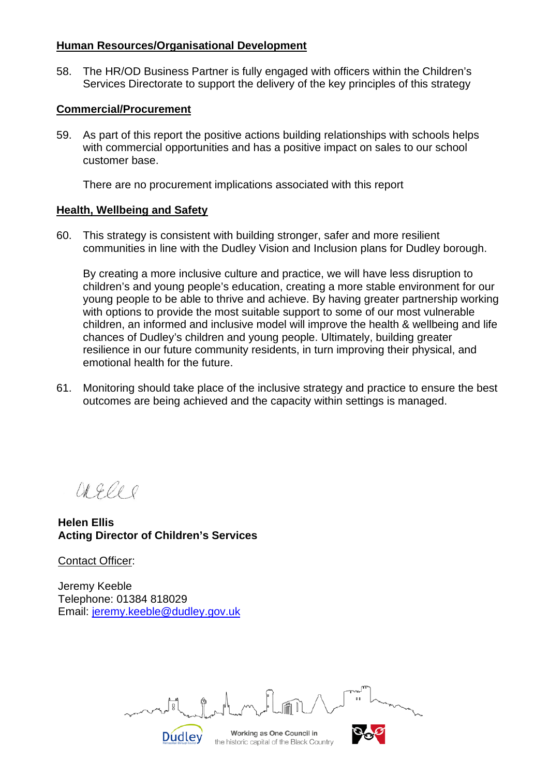#### **Human Resources/Organisational Development**

58. The HR/OD Business Partner is fully engaged with officers within the Children's Services Directorate to support the delivery of the key principles of this strategy

### **Commercial/Procurement**

59. As part of this report the positive actions building relationships with schools helps with commercial opportunities and has a positive impact on sales to our school customer base.

There are no procurement implications associated with this report

#### **Health, Wellbeing and Safety**

60. This strategy is consistent with building stronger, safer and more resilient communities in line with the Dudley Vision and Inclusion plans for Dudley borough.

By creating a more inclusive culture and practice, we will have less disruption to children's and young people's education, creating a more stable environment for our young people to be able to thrive and achieve. By having greater partnership working with options to provide the most suitable support to some of our most vulnerable children, an informed and inclusive model will improve the health & wellbeing and life chances of Dudley's children and young people. Ultimately, building greater resilience in our future community residents, in turn improving their physical, and emotional health for the future.

61. Monitoring should take place of the inclusive strategy and practice to ensure the best outcomes are being achieved and the capacity within settings is managed.

OR Gle

**Helen Ellis Acting Director of Children's Services** 

Contact Officer:

Jeremy Keeble Telephone: 01384 818029 Email: [jeremy.keeble@dudley.gov.uk](mailto:jeremy.keeble@dudley.gov.uk)

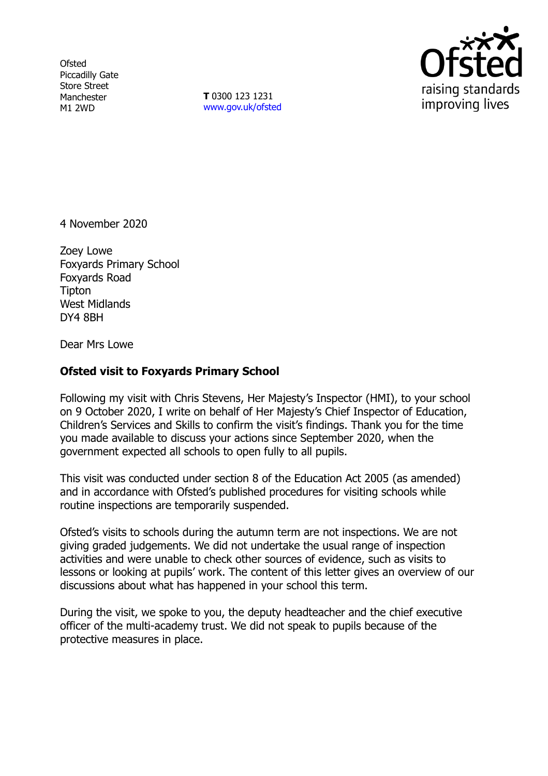**Ofsted** Piccadilly Gate Store Street Manchester M1 2WD

**T** 0300 123 1231 [www.gov.uk/ofsted](http://www.gov.uk/ofsted)



4 November 2020

Zoey Lowe Foxyards Primary School Foxyards Road Tipton West Midlands DY4 8BH

Dear Mrs Lowe

# **Ofsted visit to Foxyards Primary School**

Following my visit with Chris Stevens, Her Majesty's Inspector (HMI), to your school on 9 October 2020, I write on behalf of Her Majesty's Chief Inspector of Education, Children's Services and Skills to confirm the visit's findings. Thank you for the time you made available to discuss your actions since September 2020, when the government expected all schools to open fully to all pupils.

This visit was conducted under section 8 of the Education Act 2005 (as amended) and in accordance with Ofsted's published procedures for visiting schools while routine inspections are temporarily suspended.

Ofsted's visits to schools during the autumn term are not inspections. We are not giving graded judgements. We did not undertake the usual range of inspection activities and were unable to check other sources of evidence, such as visits to lessons or looking at pupils' work. The content of this letter gives an overview of our discussions about what has happened in your school this term.

During the visit, we spoke to you, the deputy headteacher and the chief executive officer of the multi-academy trust. We did not speak to pupils because of the protective measures in place.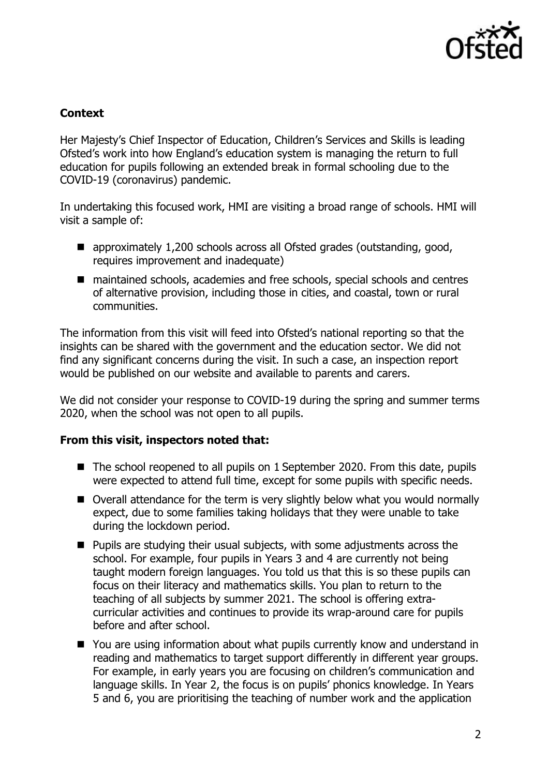

# **Context**

Her Majesty's Chief Inspector of Education, Children's Services and Skills is leading Ofsted's work into how England's education system is managing the return to full education for pupils following an extended break in formal schooling due to the COVID-19 (coronavirus) pandemic.

In undertaking this focused work, HMI are visiting a broad range of schools. HMI will visit a sample of:

- approximately 1,200 schools across all Ofsted grades (outstanding, good, requires improvement and inadequate)
- maintained schools, academies and free schools, special schools and centres of alternative provision, including those in cities, and coastal, town or rural communities.

The information from this visit will feed into Ofsted's national reporting so that the insights can be shared with the government and the education sector. We did not find any significant concerns during the visit. In such a case, an inspection report would be published on our website and available to parents and carers.

We did not consider your response to COVID-19 during the spring and summer terms 2020, when the school was not open to all pupils.

#### **From this visit, inspectors noted that:**

- The school reopened to all pupils on 1 September 2020. From this date, pupils were expected to attend full time, except for some pupils with specific needs.
- Overall attendance for the term is very slightly below what you would normally expect, due to some families taking holidays that they were unable to take during the lockdown period.
- Pupils are studying their usual subjects, with some adjustments across the school. For example, four pupils in Years 3 and 4 are currently not being taught modern foreign languages. You told us that this is so these pupils can focus on their literacy and mathematics skills. You plan to return to the teaching of all subjects by summer 2021. The school is offering extracurricular activities and continues to provide its wrap-around care for pupils before and after school.
- You are using information about what pupils currently know and understand in reading and mathematics to target support differently in different year groups. For example, in early years you are focusing on children's communication and language skills. In Year 2, the focus is on pupils' phonics knowledge. In Years 5 and 6, you are prioritising the teaching of number work and the application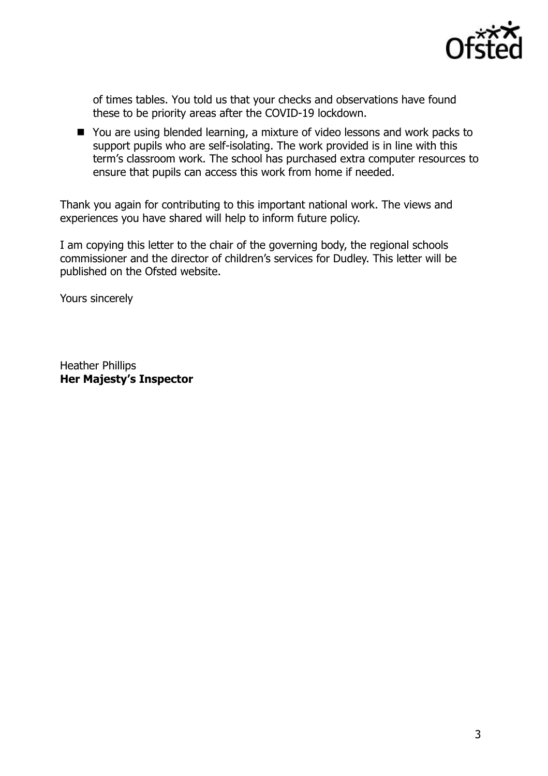

of times tables. You told us that your checks and observations have found these to be priority areas after the COVID-19 lockdown.

■ You are using blended learning, a mixture of video lessons and work packs to support pupils who are self-isolating. The work provided is in line with this term's classroom work. The school has purchased extra computer resources to ensure that pupils can access this work from home if needed.

Thank you again for contributing to this important national work. The views and experiences you have shared will help to inform future policy.

I am copying this letter to the chair of the governing body, the regional schools commissioner and the director of children's services for Dudley. This letter will be published on the Ofsted website.

Yours sincerely

Heather Phillips **Her Majesty's Inspector**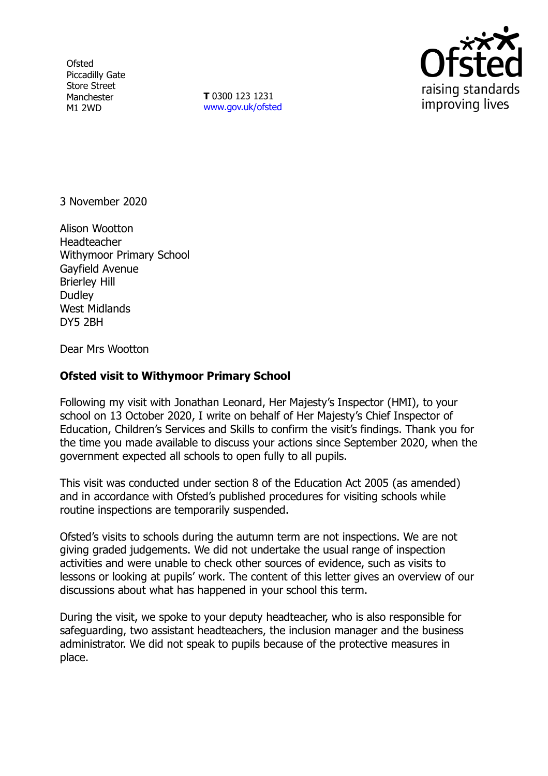**Ofsted** Piccadilly Gate Store Street Manchester M1 2WD

**T** 0300 123 1231 [www.gov.uk/ofsted](http://www.gov.uk/ofsted)



3 November 2020

Alison Wootton Headteacher Withymoor Primary School Gayfield Avenue Brierley Hill **Dudley** West Midlands DY5 2BH

Dear Mrs Wootton

# **Ofsted visit to Withymoor Primary School**

Following my visit with Jonathan Leonard, Her Majesty's Inspector (HMI), to your school on 13 October 2020, I write on behalf of Her Majesty's Chief Inspector of Education, Children's Services and Skills to confirm the visit's findings. Thank you for the time you made available to discuss your actions since September 2020, when the government expected all schools to open fully to all pupils.

This visit was conducted under section 8 of the Education Act 2005 (as amended) and in accordance with Ofsted's published procedures for visiting schools while routine inspections are temporarily suspended.

Ofsted's visits to schools during the autumn term are not inspections. We are not giving graded judgements. We did not undertake the usual range of inspection activities and were unable to check other sources of evidence, such as visits to lessons or looking at pupils' work. The content of this letter gives an overview of our discussions about what has happened in your school this term.

During the visit, we spoke to your deputy headteacher, who is also responsible for safeguarding, two assistant headteachers, the inclusion manager and the business administrator. We did not speak to pupils because of the protective measures in place.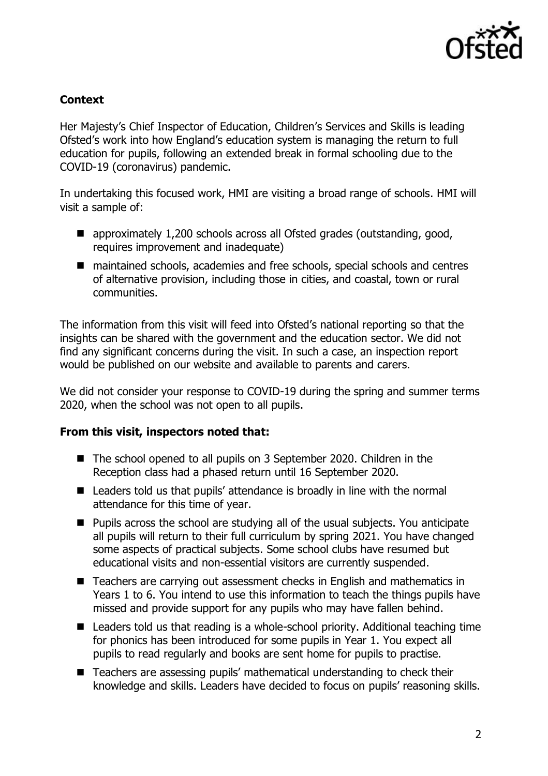

# **Context**

Her Majesty's Chief Inspector of Education, Children's Services and Skills is leading Ofsted's work into how England's education system is managing the return to full education for pupils, following an extended break in formal schooling due to the COVID-19 (coronavirus) pandemic.

In undertaking this focused work, HMI are visiting a broad range of schools. HMI will visit a sample of:

- approximately 1,200 schools across all Ofsted grades (outstanding, good, requires improvement and inadequate)
- maintained schools, academies and free schools, special schools and centres of alternative provision, including those in cities, and coastal, town or rural communities.

The information from this visit will feed into Ofsted's national reporting so that the insights can be shared with the government and the education sector. We did not find any significant concerns during the visit. In such a case, an inspection report would be published on our website and available to parents and carers.

We did not consider your response to COVID-19 during the spring and summer terms 2020, when the school was not open to all pupils.

# **From this visit, inspectors noted that:**

- The school opened to all pupils on 3 September 2020. Children in the Reception class had a phased return until 16 September 2020.
- Leaders told us that pupils' attendance is broadly in line with the normal attendance for this time of year.
- Pupils across the school are studying all of the usual subjects. You anticipate all pupils will return to their full curriculum by spring 2021. You have changed some aspects of practical subjects. Some school clubs have resumed but educational visits and non-essential visitors are currently suspended.
- Teachers are carrying out assessment checks in English and mathematics in Years 1 to 6. You intend to use this information to teach the things pupils have missed and provide support for any pupils who may have fallen behind.
- Leaders told us that reading is a whole-school priority. Additional teaching time for phonics has been introduced for some pupils in Year 1. You expect all pupils to read regularly and books are sent home for pupils to practise.
- Teachers are assessing pupils' mathematical understanding to check their knowledge and skills. Leaders have decided to focus on pupils' reasoning skills.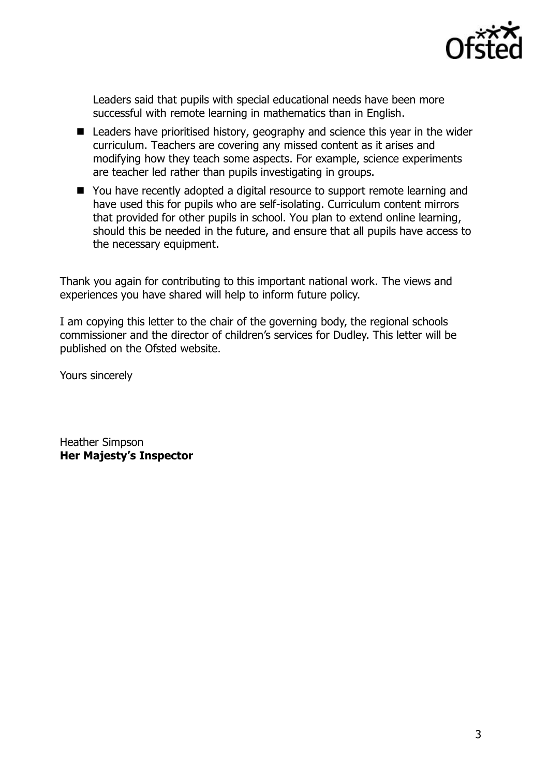

Leaders said that pupils with special educational needs have been more successful with remote learning in mathematics than in English.

- Leaders have prioritised history, geography and science this year in the wider curriculum. Teachers are covering any missed content as it arises and modifying how they teach some aspects. For example, science experiments are teacher led rather than pupils investigating in groups.
- You have recently adopted a digital resource to support remote learning and have used this for pupils who are self-isolating. Curriculum content mirrors that provided for other pupils in school. You plan to extend online learning, should this be needed in the future, and ensure that all pupils have access to the necessary equipment.

Thank you again for contributing to this important national work. The views and experiences you have shared will help to inform future policy.

I am copying this letter to the chair of the governing body, the regional schools commissioner and the director of children's services for Dudley. This letter will be published on the Ofsted website.

Yours sincerely

Heather Simpson **Her Majesty's Inspector**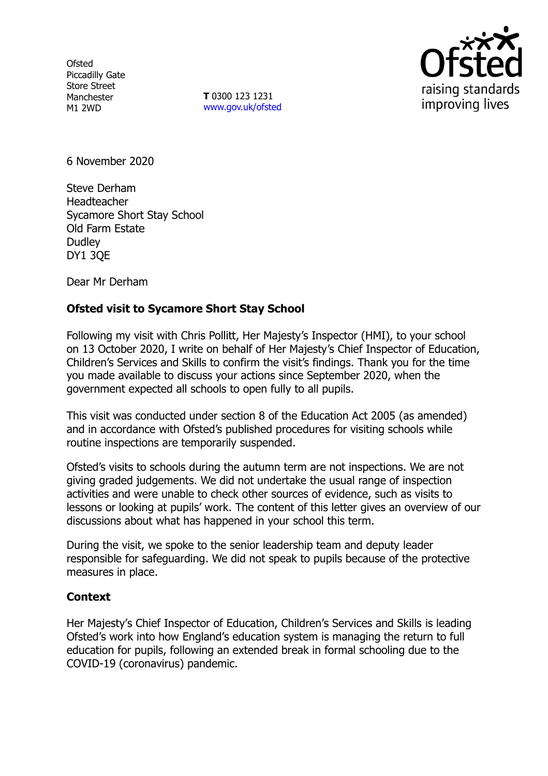**Ofsted** Piccadilly Gate Store Street Manchester M1 2WD

**T** 0300 123 1231 [www.gov.uk/ofsted](http://www.gov.uk/ofsted)



6 November 2020

Steve Derham Headteacher Sycamore Short Stay School Old Farm Estate **Dudley** DY1 3QE

Dear Mr Derham

# **Ofsted visit to Sycamore Short Stay School**

Following my visit with Chris Pollitt, Her Majesty's Inspector (HMI), to your school on 13 October 2020, I write on behalf of Her Majesty's Chief Inspector of Education, Children's Services and Skills to confirm the visit's findings. Thank you for the time you made available to discuss your actions since September 2020, when the government expected all schools to open fully to all pupils.

This visit was conducted under section 8 of the Education Act 2005 (as amended) and in accordance with Ofsted's published procedures for visiting schools while routine inspections are temporarily suspended.

Ofsted's visits to schools during the autumn term are not inspections. We are not giving graded judgements. We did not undertake the usual range of inspection activities and were unable to check other sources of evidence, such as visits to lessons or looking at pupils' work. The content of this letter gives an overview of our discussions about what has happened in your school this term.

During the visit, we spoke to the senior leadership team and deputy leader responsible for safeguarding. We did not speak to pupils because of the protective measures in place.

# **Context**

Her Majesty's Chief Inspector of Education, Children's Services and Skills is leading Ofsted's work into how England's education system is managing the return to full education for pupils, following an extended break in formal schooling due to the COVID-19 (coronavirus) pandemic.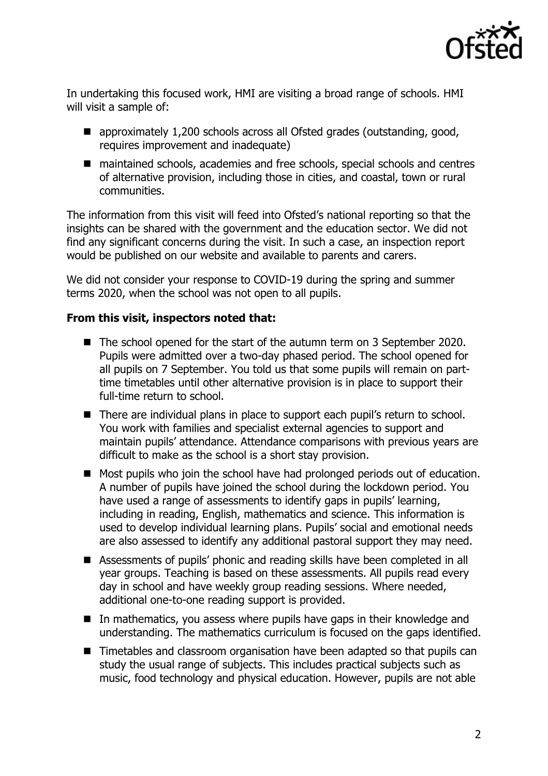

In undertaking this focused work, HMI are visiting a broad range of schools. HMI will visit a sample of:

- approximately 1,200 schools across all Ofsted grades (outstanding, good, requires improvement and inadequate)
- maintained schools, academies and free schools, special schools and centres of alternative provision, including those in cities, and coastal, town or rural communities.

The information from this visit will feed into Ofsted's national reporting so that the insights can be shared with the government and the education sector. We did not find any significant concerns during the visit. In such a case, an inspection report would be published on our website and available to parents and carers.

We did not consider your response to COVID-19 during the spring and summer terms 2020, when the school was not open to all pupils.

# **From this visit, inspectors noted that:**

- The school opened for the start of the autumn term on 3 September 2020. Pupils were admitted over a two-day phased period. The school opened for all pupils on 7 September. You told us that some pupils will remain on parttime timetables until other alternative provision is in place to support their full-time return to school.
- There are individual plans in place to support each pupil's return to school. You work with families and specialist external agencies to support and maintain pupils' attendance. Attendance comparisons with previous years are difficult to make as the school is a short stay provision.
- Most pupils who join the school have had prolonged periods out of education. A number of pupils have joined the school during the lockdown period. You have used a range of assessments to identify gaps in pupils' learning, including in reading, English, mathematics and science. This information is used to develop individual learning plans. Pupils' social and emotional needs are also assessed to identify any additional pastoral support they may need.
- Assessments of pupils' phonic and reading skills have been completed in all year groups. Teaching is based on these assessments. All pupils read every day in school and have weekly group reading sessions. Where needed, additional one-to-one reading support is provided.
- In mathematics, you assess where pupils have gaps in their knowledge and understanding. The mathematics curriculum is focused on the gaps identified.
- Timetables and classroom organisation have been adapted so that pupils can study the usual range of subjects. This includes practical subjects such as music, food technology and physical education. However, pupils are not able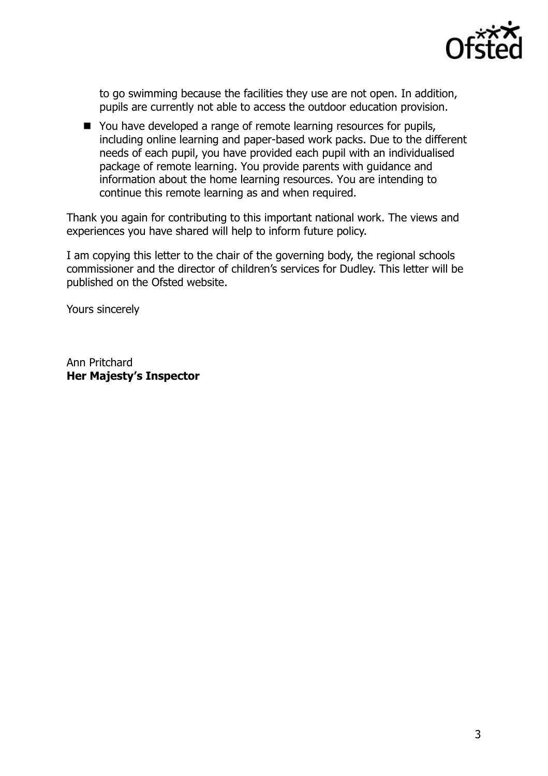

to go swimming because the facilities they use are not open. In addition, pupils are currently not able to access the outdoor education provision.

■ You have developed a range of remote learning resources for pupils, including online learning and paper-based work packs. Due to the different needs of each pupil, you have provided each pupil with an individualised package of remote learning. You provide parents with guidance and information about the home learning resources. You are intending to continue this remote learning as and when required.

Thank you again for contributing to this important national work. The views and experiences you have shared will help to inform future policy.

I am copying this letter to the chair of the governing body, the regional schools commissioner and the director of children's services for Dudley. This letter will be published on the Ofsted website.

Yours sincerely

Ann Pritchard **Her Majesty's Inspector**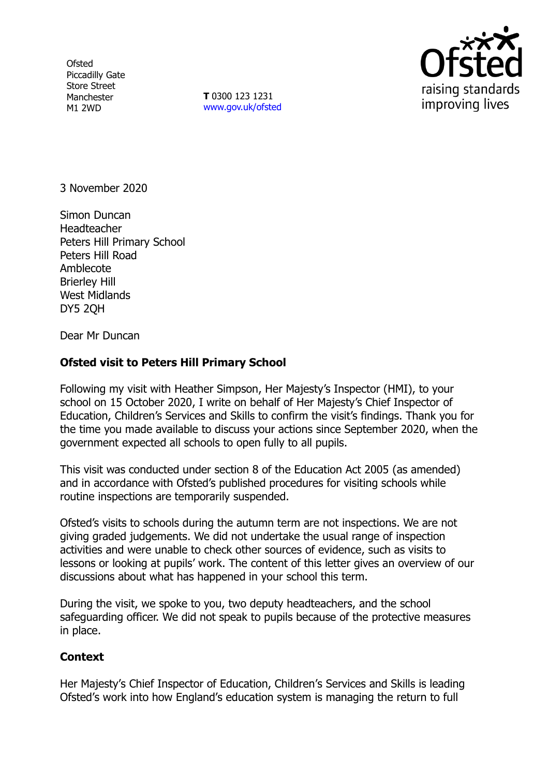**Ofsted** Piccadilly Gate Store Street Manchester M1 2WD

**T** 0300 123 1231 [www.gov.uk/ofsted](http://www.gov.uk/ofsted)



3 November 2020

Simon Duncan Headteacher Peters Hill Primary School Peters Hill Road Amblecote Brierley Hill West Midlands DY5 2QH

Dear Mr Duncan

# **Ofsted visit to Peters Hill Primary School**

Following my visit with Heather Simpson, Her Majesty's Inspector (HMI), to your school on 15 October 2020, I write on behalf of Her Majesty's Chief Inspector of Education, Children's Services and Skills to confirm the visit's findings. Thank you for the time you made available to discuss your actions since September 2020, when the government expected all schools to open fully to all pupils.

This visit was conducted under section 8 of the Education Act 2005 (as amended) and in accordance with Ofsted's published procedures for visiting schools while routine inspections are temporarily suspended.

Ofsted's visits to schools during the autumn term are not inspections. We are not giving graded judgements. We did not undertake the usual range of inspection activities and were unable to check other sources of evidence, such as visits to lessons or looking at pupils' work. The content of this letter gives an overview of our discussions about what has happened in your school this term.

During the visit, we spoke to you, two deputy headteachers, and the school safeguarding officer. We did not speak to pupils because of the protective measures in place.

# **Context**

Her Majesty's Chief Inspector of Education, Children's Services and Skills is leading Ofsted's work into how England's education system is managing the return to full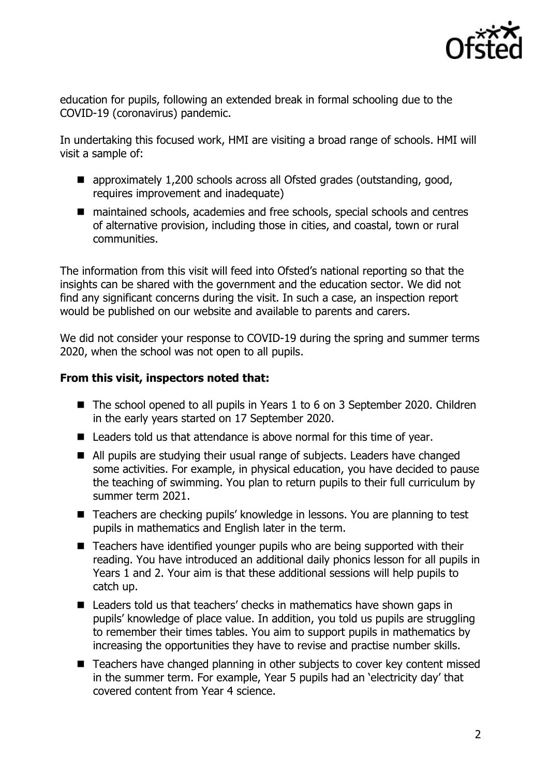

education for pupils, following an extended break in formal schooling due to the COVID-19 (coronavirus) pandemic.

In undertaking this focused work, HMI are visiting a broad range of schools. HMI will visit a sample of:

- approximately 1,200 schools across all Ofsted grades (outstanding, good, requires improvement and inadequate)
- maintained schools, academies and free schools, special schools and centres of alternative provision, including those in cities, and coastal, town or rural communities.

The information from this visit will feed into Ofsted's national reporting so that the insights can be shared with the government and the education sector. We did not find any significant concerns during the visit. In such a case, an inspection report would be published on our website and available to parents and carers.

We did not consider your response to COVID-19 during the spring and summer terms 2020, when the school was not open to all pupils.

# **From this visit, inspectors noted that:**

- The school opened to all pupils in Years 1 to 6 on 3 September 2020. Children in the early years started on 17 September 2020.
- Leaders told us that attendance is above normal for this time of year.
- All pupils are studying their usual range of subjects. Leaders have changed some activities. For example, in physical education, you have decided to pause the teaching of swimming. You plan to return pupils to their full curriculum by summer term 2021.
- Teachers are checking pupils' knowledge in lessons. You are planning to test pupils in mathematics and English later in the term.
- Teachers have identified younger pupils who are being supported with their reading. You have introduced an additional daily phonics lesson for all pupils in Years 1 and 2. Your aim is that these additional sessions will help pupils to catch up.
- Leaders told us that teachers' checks in mathematics have shown gaps in pupils' knowledge of place value. In addition, you told us pupils are struggling to remember their times tables. You aim to support pupils in mathematics by increasing the opportunities they have to revise and practise number skills.
- Teachers have changed planning in other subjects to cover key content missed in the summer term. For example, Year 5 pupils had an 'electricity day' that covered content from Year 4 science.